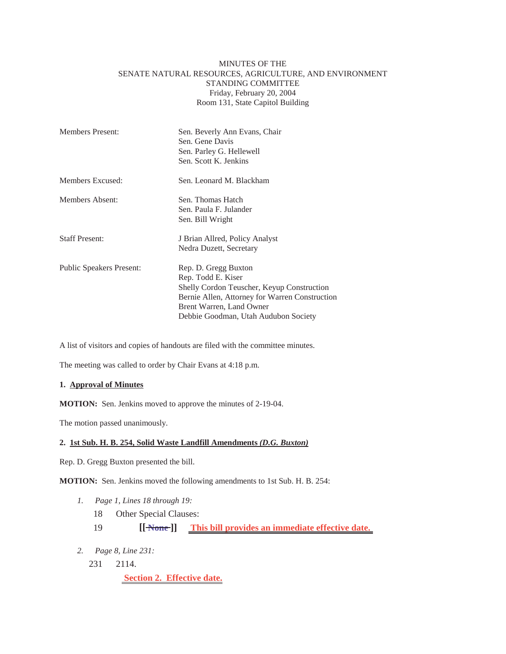# MINUTES OF THE SENATE NATURAL RESOURCES, AGRICULTURE, AND ENVIRONMENT STANDING COMMITTEE Friday, February 20, 2004 Room 131, State Capitol Building

| <b>Members Present:</b>         | Sen. Beverly Ann Evans, Chair<br>Sen. Gene Davis<br>Sen. Parley G. Hellewell<br>Sen. Scott K. Jenkins                                                                                                          |
|---------------------------------|----------------------------------------------------------------------------------------------------------------------------------------------------------------------------------------------------------------|
| Members Excused:                | Sen. Leonard M. Blackham                                                                                                                                                                                       |
| Members Absent:                 | Sen. Thomas Hatch<br>Sen. Paula F. Julander<br>Sen. Bill Wright                                                                                                                                                |
| <b>Staff Present:</b>           | J Brian Allred, Policy Analyst<br>Nedra Duzett, Secretary                                                                                                                                                      |
| <b>Public Speakers Present:</b> | Rep. D. Gregg Buxton<br>Rep. Todd E. Kiser<br>Shelly Cordon Teuscher, Keyup Construction<br>Bernie Allen, Attorney for Warren Construction<br>Brent Warren, Land Owner<br>Debbie Goodman, Utah Audubon Society |

A list of visitors and copies of handouts are filed with the committee minutes.

The meeting was called to order by Chair Evans at 4:18 p.m.

#### **1. Approval of Minutes**

**MOTION:** Sen. Jenkins moved to approve the minutes of 2-19-04.

The motion passed unanimously.

### **2. 1st Sub. H. B. 254, Solid Waste Landfill Amendments** *(D.G. Buxton)*

Rep. D. Gregg Buxton presented the bill.

**MOTION:** Sen. Jenkins moved the following amendments to 1st Sub. H. B. 254:

- *1. Page 1, Lines 18 through 19:*
	- 18 Other Special Clauses:
	- 19 **[[ None ]] This bill provides an immediate effective date.**
- *2. Page 8, Line 231:*
	- 231 2114.

 **Section 2. Effective date.**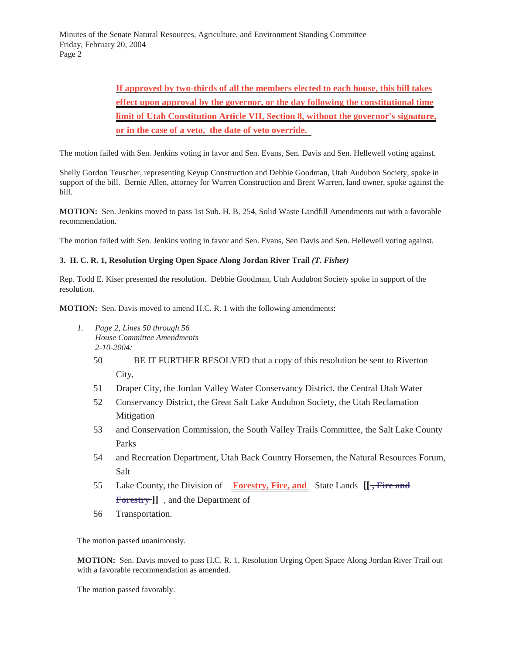Minutes of the Senate Natural Resources, Agriculture, and Environment Standing Committee Friday, February 20, 2004 Page 2

> **If approved by two-thirds of all the members elected to each house, this bill takes effect upon approval by the governor, or the day following the constitutional time limit of Utah Constitution Article VII, Section 8, without the governor's signature, or in the case of a veto, the date of veto override.**

The motion failed with Sen. Jenkins voting in favor and Sen. Evans, Sen. Davis and Sen. Hellewell voting against.

Shelly Gordon Teuscher, representing Keyup Construction and Debbie Goodman, Utah Audubon Society, spoke in support of the bill. Bernie Allen, attorney for Warren Construction and Brent Warren, land owner, spoke against the bill.

**MOTION:** Sen. Jenkins moved to pass 1st Sub. H. B. 254, Solid Waste Landfill Amendments out with a favorable recommendation.

The motion failed with Sen. Jenkins voting in favor and Sen. Evans, Sen Davis and Sen. Hellewell voting against.

# **3. H. C. R. 1, Resolution Urging Open Space Along Jordan River Trail** *(T. Fisher)*

Rep. Todd E. Kiser presented the resolution. Debbie Goodman, Utah Audubon Society spoke in support of the resolution.

**MOTION:** Sen. Davis moved to amend H.C. R. 1 with the following amendments:

- *1. Page 2, Lines 50 through 56 House Committee Amendments 2-10-2004:*
	- 50 BE IT FURTHER RESOLVED that a copy of this resolution be sent to Riverton City,
	- 51 Draper City, the Jordan Valley Water Conservancy District, the Central Utah Water
	- 52 Conservancy District, the Great Salt Lake Audubon Society, the Utah Reclamation Mitigation
	- 53 and Conservation Commission, the South Valley Trails Committee, the Salt Lake County Parks
	- 54 and Recreation Department, Utah Back Country Horsemen, the Natural Resources Forum, Salt
	- 55 Lake County, the Division of **Forestry, Fire, and** State Lands **[[ , Fire and Forestry ]]** , and the Department of
	- 56 Transportation.

The motion passed unanimously.

**MOTION:** Sen. Davis moved to pass H.C. R. 1, Resolution Urging Open Space Along Jordan River Trail out with a favorable recommendation as amended.

The motion passed favorably.